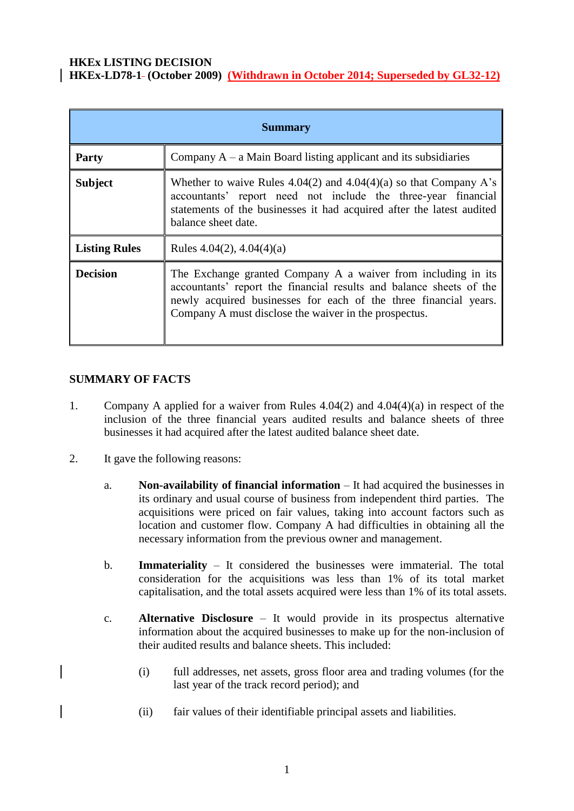### **HKEx LISTING DECISION HKEx-LD78-1 (October 2009) (Withdrawn in October 2014; Superseded by GL32-12)**

| <b>Summary</b>       |                                                                                                                                                                                                                                                                   |
|----------------------|-------------------------------------------------------------------------------------------------------------------------------------------------------------------------------------------------------------------------------------------------------------------|
| <b>Party</b>         | Company $A - a$ Main Board listing applicant and its subsidiaries                                                                                                                                                                                                 |
| <b>Subject</b>       | Whether to waive Rules $4.04(2)$ and $4.04(4)(a)$ so that Company A's<br>accountants' report need not include the three-year financial<br>statements of the businesses it had acquired after the latest audited<br>balance sheet date.                            |
| <b>Listing Rules</b> | Rules $4.04(2)$ , $4.04(4)(a)$                                                                                                                                                                                                                                    |
| <b>Decision</b>      | The Exchange granted Company A a waiver from including in its<br>accountants' report the financial results and balance sheets of the<br>newly acquired businesses for each of the three financial years.<br>Company A must disclose the waiver in the prospectus. |

# **SUMMARY OF FACTS**

- 1. Company A applied for a waiver from Rules 4.04(2) and 4.04(4)(a) in respect of the inclusion of the three financial years audited results and balance sheets of three businesses it had acquired after the latest audited balance sheet date.
- 2. It gave the following reasons:
	- a. **Non-availability of financial information** It had acquired the businesses in its ordinary and usual course of business from independent third parties. The acquisitions were priced on fair values, taking into account factors such as location and customer flow. Company A had difficulties in obtaining all the necessary information from the previous owner and management.
	- b. **Immateriality** It considered the businesses were immaterial. The total consideration for the acquisitions was less than 1% of its total market capitalisation, and the total assets acquired were less than 1% of its total assets.
	- c. **Alternative Disclosure** It would provide in its prospectus alternative information about the acquired businesses to make up for the non-inclusion of their audited results and balance sheets. This included:
		- (i) full addresses, net assets, gross floor area and trading volumes (for the last year of the track record period); and
		- (ii) fair values of their identifiable principal assets and liabilities.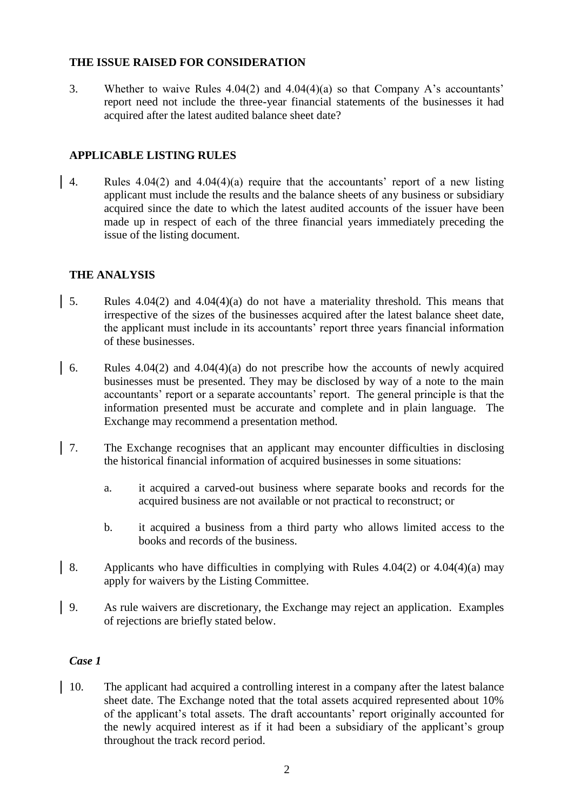## **THE ISSUE RAISED FOR CONSIDERATION**

3. Whether to waive Rules 4.04(2) and 4.04(4)(a) so that Company A's accountants' report need not include the three-year financial statements of the businesses it had acquired after the latest audited balance sheet date?

## **APPLICABLE LISTING RULES**

4. Rules 4.04(2) and 4.04(4)(a) require that the accountants' report of a new listing applicant must include the results and the balance sheets of any business or subsidiary acquired since the date to which the latest audited accounts of the issuer have been made up in respect of each of the three financial years immediately preceding the issue of the listing document.

## **THE ANALYSIS**

- 5. Rules 4.04(2) and 4.04(4)(a) do not have a materiality threshold. This means that irrespective of the sizes of the businesses acquired after the latest balance sheet date, the applicant must include in its accountants' report three years financial information of these businesses.
- 6. Rules 4.04(2) and 4.04(4)(a) do not prescribe how the accounts of newly acquired businesses must be presented. They may be disclosed by way of a note to the main accountants' report or a separate accountants' report. The general principle is that the information presented must be accurate and complete and in plain language. The Exchange may recommend a presentation method.
- 7. The Exchange recognises that an applicant may encounter difficulties in disclosing the historical financial information of acquired businesses in some situations:
	- a. it acquired a carved-out business where separate books and records for the acquired business are not available or not practical to reconstruct; or
	- b. it acquired a business from a third party who allows limited access to the books and records of the business.
- 8. Applicants who have difficulties in complying with Rules  $4.04(2)$  or  $4.04(4)(a)$  may apply for waivers by the Listing Committee.
- 9. As rule waivers are discretionary, the Exchange may reject an application. Examples of rejections are briefly stated below.

#### *Case 1*

10. The applicant had acquired a controlling interest in a company after the latest balance sheet date. The Exchange noted that the total assets acquired represented about 10% of the applicant's total assets. The draft accountants' report originally accounted for the newly acquired interest as if it had been a subsidiary of the applicant's group throughout the track record period.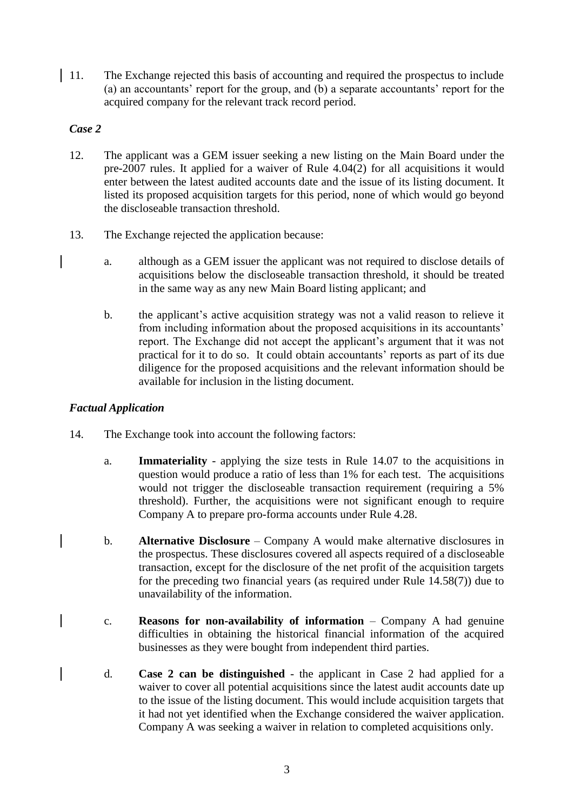11. The Exchange rejected this basis of accounting and required the prospectus to include (a) an accountants' report for the group, and (b) a separate accountants' report for the acquired company for the relevant track record period.

## *Case 2*

- 12. The applicant was a GEM issuer seeking a new listing on the Main Board under the pre-2007 rules. It applied for a waiver of Rule 4.04(2) for all acquisitions it would enter between the latest audited accounts date and the issue of its listing document. It listed its proposed acquisition targets for this period, none of which would go beyond the discloseable transaction threshold.
- 13. The Exchange rejected the application because:
	- a. although as a GEM issuer the applicant was not required to disclose details of acquisitions below the discloseable transaction threshold, it should be treated in the same way as any new Main Board listing applicant; and
	- b. the applicant's active acquisition strategy was not a valid reason to relieve it from including information about the proposed acquisitions in its accountants' report. The Exchange did not accept the applicant's argument that it was not practical for it to do so. It could obtain accountants' reports as part of its due diligence for the proposed acquisitions and the relevant information should be available for inclusion in the listing document.

# *Factual Application*

- 14. The Exchange took into account the following factors:
	- a. **Immateriality** applying the size tests in Rule 14.07 to the acquisitions in question would produce a ratio of less than 1% for each test. The acquisitions would not trigger the discloseable transaction requirement (requiring a 5% threshold). Further, the acquisitions were not significant enough to require Company A to prepare pro-forma accounts under Rule 4.28.
	- b. **Alternative Disclosure** Company A would make alternative disclosures in the prospectus. These disclosures covered all aspects required of a discloseable transaction, except for the disclosure of the net profit of the acquisition targets for the preceding two financial years (as required under Rule 14.58(7)) due to unavailability of the information.
	- c. **Reasons for non-availability of information** Company A had genuine difficulties in obtaining the historical financial information of the acquired businesses as they were bought from independent third parties.
	- d. **Case 2 can be distinguished** the applicant in Case 2 had applied for a waiver to cover all potential acquisitions since the latest audit accounts date up to the issue of the listing document. This would include acquisition targets that it had not yet identified when the Exchange considered the waiver application. Company A was seeking a waiver in relation to completed acquisitions only.